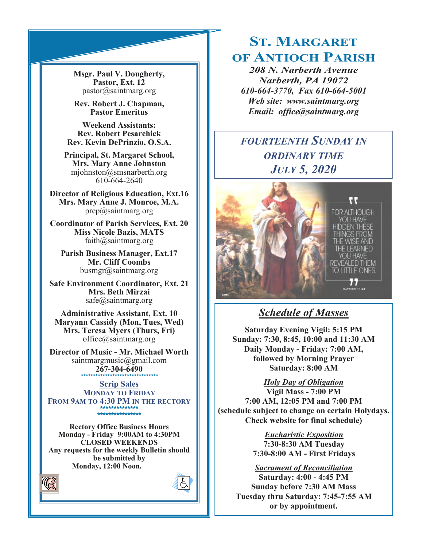**Msgr. Paul V. Dougherty, Pastor, Ext. 12** pastor@saintmarg.org

**Rev. Robert J. Chapman, Pastor Emeritus**

**Weekend Assistants: Rev. Robert Pesarchick Rev. Kevin DePrinzio, O.S.A.**

**Principal, St. Margaret School, Mrs. Mary Anne Johnston**  mjohnston@smsnarberth.org 610-664-2640

**Director of Religious Education, Ext.16 Mrs. Mary Anne J. Monroe, M.A.** prep@saintmarg.org

**Coordinator of Parish Services, Ext. 20 Miss Nicole Bazis, MATS** faith@saintmarg.org

**Parish Business Manager, Ext.17 Mr. Cliff Coombs** busmgr@saintmarg.org

**Safe Environment Coordinator, Ext. 21 Mrs. Beth Mirzai** safe@saintmarg.org

**Administrative Assistant, Ext. 10 Maryann Cassidy (Mon, Tues, Wed) Mrs. Teresa Myers (Thurs, Fri)** office@saintmarg.org

**Director of Music - Mr. Michael Worth** saintmargmusic@gmail.com **267-304-6490** *\*\*\*\*\*\*\*\*\*\*\*\*\*\*\*\*\*\*\*\*\*\*\*\*\*\*\*\*\*\*\*\**

**Scrip Sales MONDAY TO FRIDAY FROM 9AM TO 4:30 PM IN THE RECTORY \*\*\*\*\*\*\*\*\*\*\*\*\*\* \*\*\*\*\*\*\*\*\*\*\*\*\*\*\*\*** 

**Rectory Office Business Hours Monday - Friday 9:00AM to 4:30PM CLOSED WEEKENDS Any requests for the weekly Bulletin should be submitted by Monday, 12:00 Noon.** 



## **ST. MARGARET OF ANTIOCH PARISH**

*208 N. Narberth Avenue Narberth, PA 19072 610-664-3770, Fax 610-664-5001 Web site: www.saintmarg.org Email: office@saintmarg.org*

## *FOURTEENTH SUNDAY IN ORDINARY TIME JULY 5, 2020*



## *Schedule of Masses*

**Saturday Evening Vigil: 5:15 PM Sunday: 7:30, 8:45, 10:00 and 11:30 AM Daily Monday - Friday: 7:00 AM, followed by Morning Prayer Saturday: 8:00 AM**

*Holy Day of Obligation*

**Vigil Mass - 7:00 PM 7:00 AM, 12:05 PM and 7:00 PM (schedule subject to change on certain Holydays. Check website for final schedule)**

> *Eucharistic Exposition*  **7:30-8:30 AM Tuesday 7:30-8:00 AM - First Fridays**

*Sacrament of Reconciliation* **Saturday: 4:00 - 4:45 PM Sunday before 7:30 AM Mass Tuesday thru Saturday: 7:45-7:55 AM or by appointment.**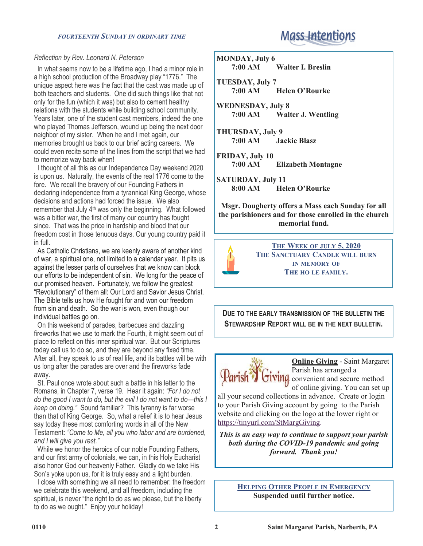### *FOURTEENTH SUNDAY IN ORDINARY TIME*

### *Reflection by Rev. Leonard N. Peterson*

 In what seems now to be a lifetime ago, I had a minor role in a high school production of the Broadway play "1776." The unique aspect here was the fact that the cast was made up of both teachers and students. One did such things like that not only for the fun (which it was) but also to cement healthy relations with the students while building school community. Years later, one of the student cast members, indeed the one who played Thomas Jefferson, wound up being the next door neighbor of my sister. When he and I met again, our memories brought us back to our brief acting careers. We could even recite some of the lines from the script that we had to memorize way back when!

 I thought of all this as our Independence Day weekend 2020 is upon us. Naturally, the events of the real 1776 come to the fore. We recall the bravery of our Founding Fathers in declaring independence from a tyrannical King George, whose decisions and actions had forced the issue. We also remember that July 4th was only the beginning. What followed was a bitter war, the first of many our country has fought since. That was the price in hardship and blood that our freedom cost in those tenuous days. Our young country paid it in full.

 As Catholic Christians, we are keenly aware of another kind of war, a spiritual one, not limited to a calendar year. It pits us against the lesser parts of ourselves that we know can block our efforts to be independent of sin. We long for the peace of our promised heaven. Fortunately, we follow the greatest "Revolutionary" of them all: Our Lord and Savior Jesus Christ. The Bible tells us how He fought for and won our freedom from sin and death. So the war is won, even though our individual battles go on.

 On this weekend of parades, barbecues and dazzling fireworks that we use to mark the Fourth, it might seem out of place to reflect on this inner spiritual war. But our Scriptures today call us to do so, and they are beyond any fixed time. After all, they speak to us of real life, and its battles will be with us long after the parades are over and the fireworks fade away.

 St. Paul once wrote about such a battle in his letter to the Romans, in Chapter 7, verse 19. Hear it again: *"For I do not do the good I want to do, but the evil I do not want to do—this I keep on doing."* Sound familiar? This tyranny is far worse than that of King George. So, what a relief it is to hear Jesus say today these most comforting words in all of the New Testament: *"Come to Me, all you who labor and are burdened, and I will give you rest."*

 While we honor the heroics of our noble Founding Fathers, and our first army of colonials, we can, in this Holy Eucharist also honor God our heavenly Father. Gladly do we take His Son's yoke upon us, for it is truly easy and a light burden.

 I close with something we all need to remember: the freedom we celebrate this weekend, and all freedom, including the spiritual, is never "the right to do as we please, but the liberty to do as we ought." Enjoy your holiday!

# **Mass Intentions**

**MONDAY, July 6 7:00 AM Walter I. Breslin**

**TUESDAY, July 7 7:00 AM Helen O'Rourke**

**WEDNESDAY, July 8 7:00 AM Walter J. Wentling**

**THURSDAY, July 9 7:00 AM Jackie Blasz**

**FRIDAY, July 10** *<u>Elizabeth Montagne</u>* 

**SATURDAY, July 11 8:00 AM Helen O'Rourke**

**Msgr. Dougherty offers a Mass each Sunday for all the parishioners and for those enrolled in the church memorial fund.**



**THE WEEK OF JULY 5, 2020 THE SANCTUARY CANDLE WILL BURN IN MEMORY OF THE HO LE FAMILY.**

**DUE TO THE EARLY TRANSMISSION OF THE BULLETIN THE STEWARDSHIP REPORT WILL BE IN THE NEXT BULLETIN.**



**Online Giving** - Saint Margaret Parish has arranged a **Tiving** convenient and secure method of online giving. You can set up

all your second collections in advance. Create or login to your Parish Giving account by going to the Parish website and clicking on the logo at the lower right or [https://tinyurl.com/StMargGiving.](https://tinyurl.com/StMargGiving)

*This is an easy way to continue to support your parish both during the COVID-19 pandemic and going forward. Thank you!*

> **HELPING OTHER PEOPLE IN EMERGENCY Suspended until further notice.**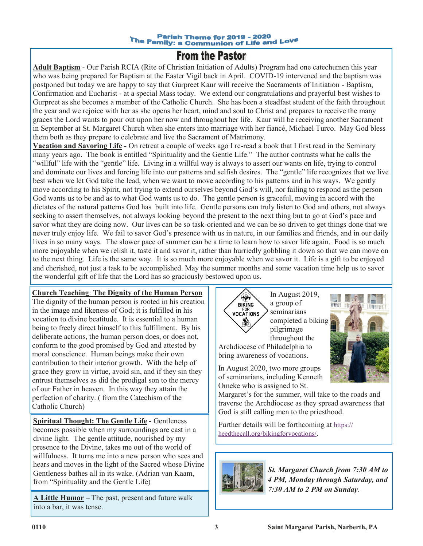#### **Parish Theme for 2019 - 2020** The Family: a Communion of Life and Love

## **From the Pastor**

**Adult Baptism** - Our Parish RCIA (Rite of Christian Initiation of Adults) Program had one catechumen this year who was being prepared for Baptism at the Easter Vigil back in April. COVID-19 intervened and the baptism was postponed but today we are happy to say that Gurpreet Kaur will receive the Sacraments of Initiation - Baptism, Confirmation and Eucharist - at a special Mass today. We extend our congratulations and prayerful best wishes to Gurpreet as she becomes a member of the Catholic Church. She has been a steadfast student of the faith throughout the year and we rejoice with her as she opens her heart, mind and soul to Christ and prepares to receive the many graces the Lord wants to pour out upon her now and throughout her life. Kaur will be receiving another Sacrament in September at St. Margaret Church when she enters into marriage with her fiancé, Michael Turco. May God bless them both as they prepare to celebrate and live the Sacrament of Matrimony.

**Vacation and Savoring Life** - On retreat a couple of weeks ago I re-read a book that I first read in the Seminary many years ago. The book is entitled "Spirituality and the Gentle Life." The author contrasts what he calls the "willful" life with the "gentle" life. Living in a willful way is always to assert our wants on life, trying to control and dominate our lives and forcing life into our patterns and selfish desires. The "gentle" life recognizes that we live best when we let God take the lead, when we want to move according to his patterns and in his ways. We gently move according to his Spirit, not trying to extend ourselves beyond God's will, nor failing to respond as the person God wants us to be and as to what God wants us to do. The gentle person is graceful, moving in accord with the dictates of the natural patterns God has built into life. Gentle persons can truly listen to God and others, not always seeking to assert themselves, not always looking beyond the present to the next thing but to go at God's pace and savor what they are doing now. Our lives can be so task-oriented and we can be so driven to get things done that we never truly enjoy life. We fail to savor God's presence with us in nature, in our families and friends, and in our daily lives in so many ways. The slower pace of summer can be a time to learn how to savor life again. Food is so much more enjoyable when we relish it, taste it and savor it, rather than hurriedly gobbling it down so that we can move on to the next thing. Life is the same way. It is so much more enjoyable when we savor it. Life is a gift to be enjoyed and cherished, not just a task to be accomplished. May the summer months and some vacation time help us to savor the wonderful gift of life that the Lord has so graciously bestowed upon us.

### **Church Teaching**: **The Dignity of the Human Person**

The dignity of the human person is rooted in his creation in the image and likeness of God; it is fulfilled in his vocation to divine beatitude. It is essential to a human being to freely direct himself to this fulfillment. By his deliberate actions, the human person does, or does not, conform to the good promised by God and attested by moral conscience. Human beings make their own contribution to their interior growth. With the help of grace they grow in virtue, avoid sin, and if they sin they entrust themselves as did the prodigal son to the mercy of our Father in heaven. In this way they attain the perfection of charity. ( from the Catechism of the Catholic Church)

**Spiritual Thought: The Gentle Life -** Gentleness becomes possible when my surroundings are cast in a divine light. The gentle attitude, nourished by my presence to the Divine, takes me out of the world of willfulness. It turns me into a new person who sees and hears and moves in the light of the Sacred whose Divine Gentleness bathes all in its wake. (Adrian van Kaam, from "Spirituality and the Gentle Life)

**A Little Humor** – The past, present and future walk into a bar, it was tense.





In August 2020, two more groups of seminarians, including Kenneth Omeke who is assigned to St.

bring awareness of vocations.

∾ **BIKING** 

Margaret's for the summer, will take to the roads and traverse the Archdiocese as they spread awareness that God is still calling men to the priesthood.

Further details will be forthcoming at [https://](https://heedthecall.org/bikingforvocations/) [heedthecall.org/bikingforvocations/](https://heedthecall.org/bikingforvocations/).



*St. Margaret Church from 7:30 AM to 4 PM, Monday through Saturday, and 7:30 AM to 2 PM on Sunday*.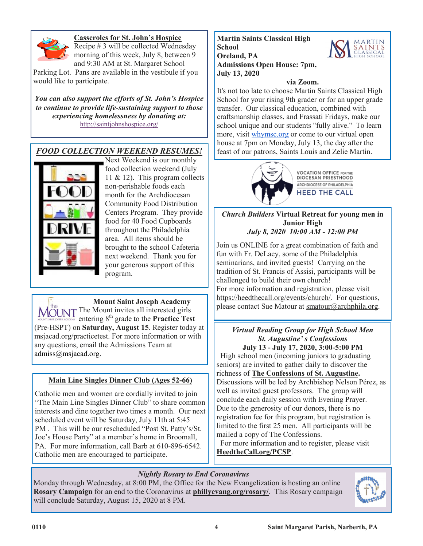

### **Casseroles for St. John's Hospice**

Recipe # 3 will be collected Wednesday morning of this week, July 8, between 9 and 9:30 AM at St. Margaret School

Parking Lot. Pans are available in the vestibule if you would like to participate.

*You can also support the efforts of St. John's Hospice to continue to provide life-sustaining support to those experiencing homelessness by donating at:*  <http://saintjohnshospice.org/>

### *FOOD COLLECTION WEEKEND RESUMES!*



Next Weekend is our monthly food collection weekend (July 11 & 12). This program collects non-perishable foods each month for the Archdiocesan Community Food Distribution Centers Program. They provide food for 40 Food Cupboards throughout the Philadelphia area. All items should be brought to the school Cafeteria next weekend. Thank you for your generous support of this program.

**Mount Saint Joseph Academy** MOUNT The Mount invites all interested girls  $\frac{1}{2}$  entering 8<sup>th</sup> grade to the **Practice Test** (Pre-HSPT) on **Saturday, August 15**. Register today at msjacad.org/practicetest. For more information or with any questions, email the Admissions Team at [admiss@msjacad.org.](mailto:admiss@msjacad.org)

### **Main Line Singles Dinner Club (Ages 52-66)**

Catholic men and women are cordially invited to join "The Main Line Singles Dinner Club" to share common interests and dine together two times a month. Our next scheduled event will be Saturday, July 11th at 5:45 PM . This will be our rescheduled "Post St. Patty's/St. Joe's House Party" at a member's home in Broomall, PA. For more information, call Barb at 610-896-6542. Catholic men are encouraged to participate.

**Martin Saints Classical High School Oreland, PA Admissions Open House: 7pm, July 13, 2020**

### **via Zoom.**

It's not too late to choose Martin Saints Classical High School for your rising 9th grader or for an upper grade transfer. Our classical education, combined with craftsmanship classes, and Frassati Fridays, make our school unique and our students "fully alive." To learn more, visit [whymsc.org](http://whymsc.org/) or come to our virtual open house at 7pm on Monday, July 13, the day after the feast of our patrons, Saints Louis and Zelie Martin.



**VOCATION OFFICE FOR THE** DIOCESAN PRIESTHOOD ARCHDIOCESE OF PHILADELPHIA **HEED THE CALL** 

*Church Builders* **Virtual Retreat for young men in Junior High** *July 8, 2020 10:00 AM - 12:00 PM*

Join us ONLINE for a great combination of faith and fun with Fr. DeLacy, some of the Philadelphia seminarians, and invited guests! Carrying on the tradition of St. Francis of Assisi, participants will be challenged to build their own church! For more information and registration, please visit https://heedthecall.org/events/church/. For questions, please contact Sue Matour at smatour@archphila.org.

### *Virtual Reading Group for High School Men St. Augustine' s Confessions* **July 13 - July 17, 2020, 3:00-5:00 PM**

 High school men (incoming juniors to graduating seniors) are invited to gather daily to discover the richness of **The Confessions of St. Augustine.** Discussions will be led by Archbishop Nelson Pérez, as well as invited guest professors. The group will conclude each daily session with Evening Prayer. Due to the generosity of our donors, there is no registration fee for this program, but registration is limited to the first 25 men. All participants will be mailed a copy of The Confessions.

 For more information and to register, please visit **HeedtheCall.org/PCSP**.

### *Nightly Rosary to End Coronavirus*

Monday through Wednesday, at 8:00 PM, the Office for the New Evangelization is hosting an online **Rosary Campaign** for an end to the Coronavirus at **phillyevang.org/rosary/**. This Rosary campaign will conclude Saturday, August 15, 2020 at 8 PM.

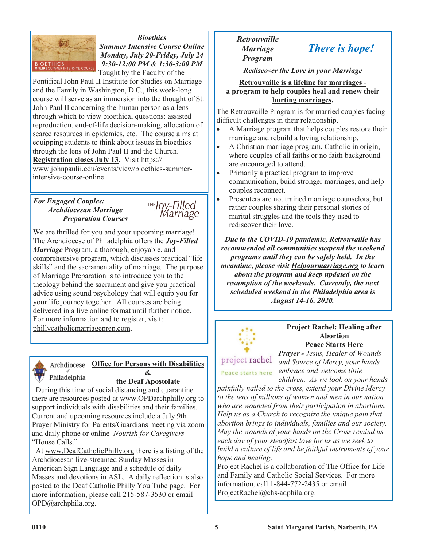

*Bioethics Summer Intensive Course Online Monday, July 20-Friday, July 24 9:30-12:00 PM & 1:30-3:00 PM*

Taught by the Faculty of the

Pontifical John Paul II Institute for Studies on Marriage and the Family in Washington, D.C., this week-long course will serve as an immersion into the thought of St. John Paul II concerning the human person as a lens through which to view bioethical questions: assisted reproduction, end-of-life decision-making, allocation of scarce resources in epidemics, etc. The course aims at equipping students to think about issues in bioethics through the lens of John Paul II and the Church. **Registration closes July 13.** Visit https:// www.johnpaulii.edu/events/view/bioethics-summerintensive-course-online.

### *For Engaged Couples: Archdiocesan Marriage Preparation Courses*



We are thrilled for you and your upcoming marriage! The Archdiocese of Philadelphia offers the *Joy-Filled Marriage* Program, a thorough, enjoyable, and comprehensive program, which discusses practical "life skills" and the sacramentality of marriage. The purpose of Marriage Preparation is to introduce you to the theology behind the sacrament and give you practical advice using sound psychology that will equip you for your life journey together. All courses are being delivered in a live online format until further notice. For more information and to register, visit: phillycatholicmarriageprep.com.



### **Office for Persons with Disabilities &**

### **the Deaf Apostolate**

 During this time of social distancing and quarantine there are resources posted at www.OPDarchphilly.org to support individuals with disabilities and their families. Current and upcoming resources include a July 9th Prayer Ministry for Parents/Guardians meeting via zoom and daily phone or online *Nourish for Caregivers* "House Calls."

 At www.DeafCatholicPhilly.org there is a listing of the Archdiocesan live-streamed Sunday Masses in American Sign Language and a schedule of daily Masses and devotions in ASL. A daily reflection is also posted to the Deaf Catholic Philly You Tube page. For more information, please call 215-587-3530 or email OPD@archphila.org.

### *Retrouvaille Marriage Program*

# *There is hope!*

*Rediscover the Love in your Marriage*

### **Retrouvaille is a lifeline for marriages a program to help couples heal and renew their hurting marriages.**

The Retrouvaille Program is for married couples facing difficult challenges in their relationship.

- A Marriage program that helps couples restore their marriage and rebuild a loving relationship.
- A Christian marriage program, Catholic in origin, where couples of all faiths or no faith background are encouraged to attend.
- Primarily a practical program to improve communication, build stronger marriages, and help couples reconnect.
- Presenters are not trained marriage counselors, but rather couples sharing their personal stories of marital struggles and the tools they used to rediscover their love.

*Due to the COVID-19 pandemic, Retrouvaille has recommended all communities suspend the weekend programs until they can be safely held. In the meantime, please visit Helpourmarriage.org to learn about the program and keep updated on the resumption of the weekends. Currently, the next scheduled weekend in the Philadelphia area is August 14-16, 2020.*



### **Project Rachel: Healing after Abortion Peace Starts Here**

Peace starts here

*Prayer - Jesus, Healer of Wounds and Source of Mercy, your hands embrace and welcome little children. As we look on your hands* 

*painfully nailed to the cross, extend your Divine Mercy to the tens of millions of women and men in our nation who are wounded from their participation in abortions. Help us as a Church to recognize the unique pain that abortion brings to individuals, families and our society. May the wounds of your hands on the Cross remind us each day of your steadfast love for us as we seek to build a culture of life and be faithful instruments of your hope and healing*.

Project Rachel is a collaboration of The Office for Life and Family and Catholic Social Services. For more information, call 1-844-772-2435 or email ProjectRachel@chs-adphila.org.